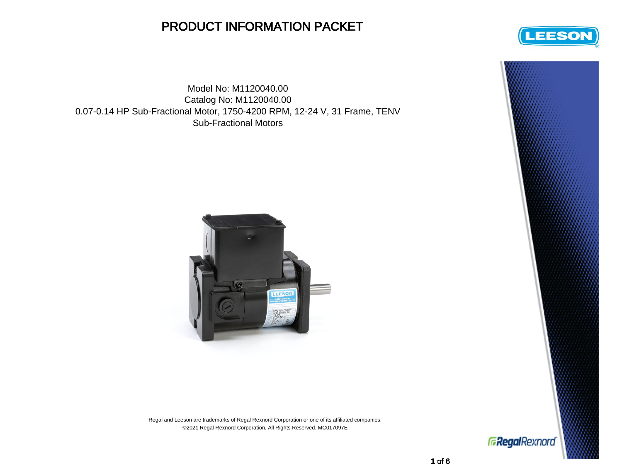## PRODUCT INFORMATION PACKET

Model No: M1120040.00 Catalog No: M1120040.00 0.07-0.14 HP Sub-Fractional Motor, 1750-4200 RPM, 12-24 V, 31 Frame, TENV Sub-Fractional Motors



Regal and Leeson are trademarks of Regal Rexnord Corporation or one of its affiliated companies. ©2021 Regal Rexnord Corporation, All Rights Reserved. MC017097E



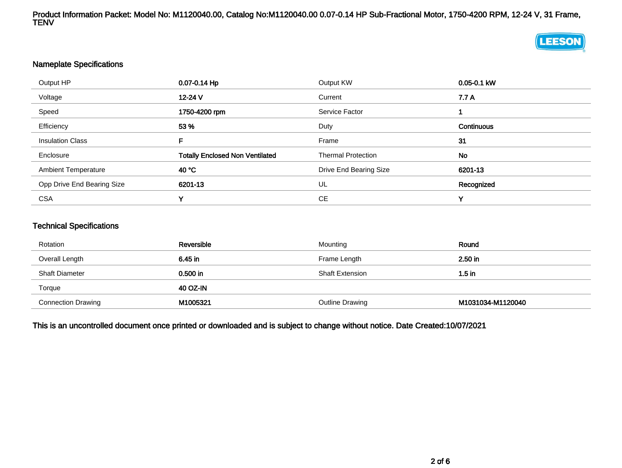Product Information Packet: Model No: M1120040.00, Catalog No:M1120040.00 0.07-0.14 HP Sub-Fractional Motor, 1750-4200 RPM, 12-24 V, 31 Frame, TENV

## **LEESON**

## Nameplate Specifications

| Output HP                  | 0.07-0.14 Hp                           | Output KW                 | 0.05-0.1 kW       |
|----------------------------|----------------------------------------|---------------------------|-------------------|
| Voltage                    | $12 - 24$ V                            | Current                   | 7.7 A             |
| Speed                      | 1750-4200 rpm                          | Service Factor            |                   |
| Efficiency                 | 53 %                                   | Duty                      | <b>Continuous</b> |
| <b>Insulation Class</b>    | F.                                     | Frame                     | 31                |
| Enclosure                  | <b>Totally Enclosed Non Ventilated</b> | <b>Thermal Protection</b> | No                |
| <b>Ambient Temperature</b> | 40 °C                                  | Drive End Bearing Size    | 6201-13           |
| Opp Drive End Bearing Size | 6201-13                                | UL                        | Recognized        |
| <b>CSA</b>                 | v                                      | <b>CE</b>                 | v                 |

## Technical Specifications

| Rotation                  | Reversible | Mounting               | Round             |
|---------------------------|------------|------------------------|-------------------|
| Overall Length            | 6.45 in    | Frame Length           | 2.50 in           |
| <b>Shaft Diameter</b>     | $0.500$ in | <b>Shaft Extension</b> | $1.5$ in          |
| Torque                    | 40 OZ-IN   |                        |                   |
| <b>Connection Drawing</b> | M1005321   | Outline Drawing        | M1031034-M1120040 |

This is an uncontrolled document once printed or downloaded and is subject to change without notice. Date Created:10/07/2021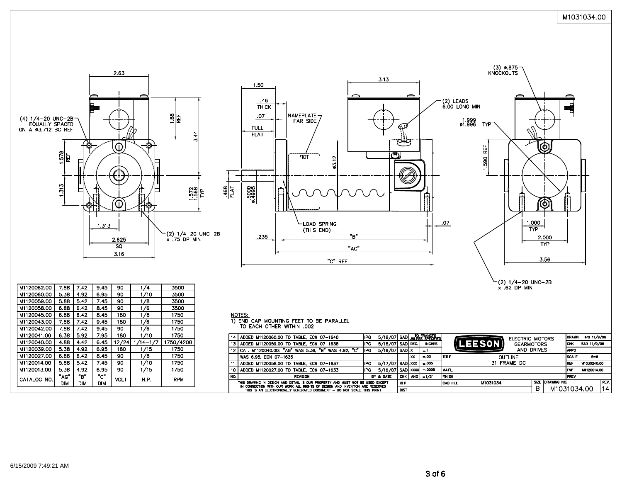





(2) 1/4-20 UNC-2B<br>x .62 DP MIN

| M1120062.00 | 7.88        | 7.42       | 9.45 | 90          | 174      | 3500       |  |
|-------------|-------------|------------|------|-------------|----------|------------|--|
| M1120060.00 | 5.38        | 4.92       | 6.95 | 90          | 1/10     | 3500       |  |
| M1120059.00 | 5.88        | 5.42       | 7.45 | 90          | 1/8      | 3500       |  |
| M1120058.00 | 6.88        | 6.42       | 8.45 | 90          | 1/6      | 3500       |  |
| M1120045.00 | 6.88        | 6.42       | 8.45 | 180         | 1/8      | 1750       |  |
| M1120043.00 | 7.88        | 7.42       | 9.45 | 180         | 1/6      | 1750       |  |
| M1120042.00 | 7.88        | 7.42       | 9.45 | 90          | 1/6      | 1750       |  |
| M1120041.00 | 6.38        | 5.92       | 7.95 | 180         | 1/10     | 1750       |  |
| M1120040.00 | 4.88        | 4.42       | 6.45 | 12/24       | 1/14-1/7 | 1750/4200  |  |
| M1120039.00 | 5.38        | 4.92       | 6.95 | 180         | 1/15     | 1750       |  |
| M1120027.00 | 6.88        | 6.42       | 8.45 | 90          | 1/8      | 1750       |  |
| M1120014.00 | 5.88        | 5.42       | 7.45 | 90          | 1/10     | 1750       |  |
| M1120013.00 | 5.38        | 4.92       | 6.95 | 90          | 1/15     | 1750       |  |
| CATALOG NO. | "в"<br>"AG" |            | "ር"  | <b>VOLT</b> | H.P.     | <b>RPM</b> |  |
|             | dim         | <b>DIM</b> | DIM  |             |          |            |  |

<u>NOTES:</u><br>1) END CAP MOUNTING FEET TO BE PARALLEL<br>TO EACH OTHER WITHIN .002

|                                                                                                                                                              | 14   ADDED M1120060.00 TO TABLE, ECN 07-1640          | <b>IPG</b>  | 5/18/07 SAD UNLESS SPECIFIED |                                           |      |               | ELECTRIC MOTORS             |                  | <b>DRAWN</b> | IPG 11/9/06 |      |
|--------------------------------------------------------------------------------------------------------------------------------------------------------------|-------------------------------------------------------|-------------|------------------------------|-------------------------------------------|------|---------------|-----------------------------|------------------|--------------|-------------|------|
|                                                                                                                                                              | 13 ADDED M1120059.00 TO TABLE, ECN 07-1638            | IPG.        | 5/18/07 SAD DEC.             |                                           |      | <b>INCHES</b> | EESONI<br><b>GEARMOTORS</b> |                  | ICHK         | SAD 11/9/06 |      |
|                                                                                                                                                              | 12 CAT. M1120040.00: "AG" WAS 5.38. "B" WAS 4.92. "C" | <b>IIPG</b> | 5/18/07 SAD X                |                                           |      | ±.1           | AND DRIVES                  |                  | <b>APPD</b>  |             |      |
|                                                                                                                                                              | WAS 6.95, ECN 07-1635                                 |             |                              |                                           | l.xx | ±.03          | <b>ITTLE</b><br>OUTLINE     |                  | <b>SCALE</b> | $5 - 8$     |      |
|                                                                                                                                                              | 11   ADDED M1120058.00 TO TABLE, ECN 07-1637          | <b>IPG</b>  | 5/17/07 SAD LXXX             |                                           |      | ±.005         | 31 FRAME DC                 |                  | <b>REF</b>   | M1030240.00 |      |
|                                                                                                                                                              | 10 ADDED M1120027.00 TO TABLE, ECN 07-1633            | IPG.        | 5/16/07 SAD XXXX             |                                           |      | ±.0005        | <b>MATL</b>                 |                  | <b>IFMF</b>  | M1120014.00 |      |
| NO.                                                                                                                                                          | <b>REVISION</b>                                       |             | BY & DATE                    |                                           |      | CHK ANG H1/2  | <b>FINISH</b>               |                  | <b>IPREV</b> |             |      |
| THIS DRAWING IN DESIGN AND DETAIL IS OUR PROPERTY AND MUST NOT BE USED EXCEPT<br>IN CONNECTION WITH OUR WORK ALL RIGHTS OF DESIGN AND INVENTION ARE RESERVED |                                                       |             |                              | M1031034<br><b>RFP</b><br><b>CAD FILE</b> |      |               |                             | SIZE DRAWING NO. |              |             | REV. |
| THIS IS AN ELECTRONICALLY GENERATED DOCUMENT - DO NOT SCALE THIS PRINT                                                                                       |                                                       |             |                              | <b>DIST</b>                               |      |               |                             | B<br>M1031034.00 |              |             | 14   |
|                                                                                                                                                              |                                                       |             |                              |                                           |      |               |                             |                  |              |             |      |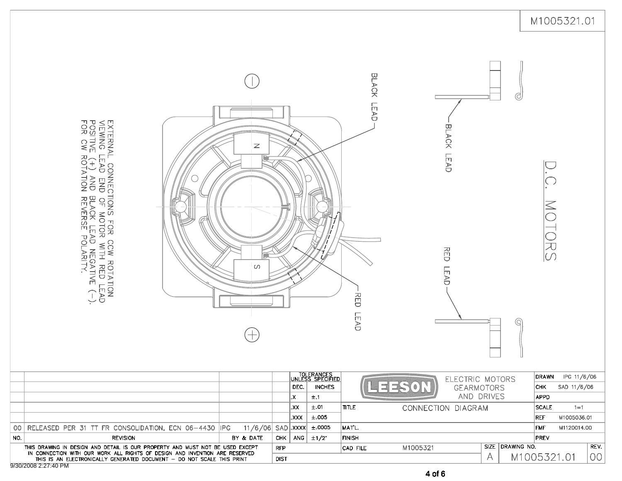|                                     |                                                                                                                                                                  |                            |             |               |                                                  |                           |          |                                      |                  |                      | M1005321.01                      |
|-------------------------------------|------------------------------------------------------------------------------------------------------------------------------------------------------------------|----------------------------|-------------|---------------|--------------------------------------------------|---------------------------|----------|--------------------------------------|------------------|----------------------|----------------------------------|
|                                     | EXTERNAL CONNECTIONS FOR CCW ROTATON<br>VEWING LEAD END OF MOTOR WITH RED LEAD<br>POSITIVE (+) AND BLACK LEAD NEGATIVE (-).<br>FOR CW ROTATION REVERSE POLARITY. | $\mathbb Z$<br>$\circ$     |             |               |                                                  | BLACK LEAD<br>RED<br>LEAD |          | BLACK LEAD<br>RED<br>LEAD            | ₫                | ことこ                  |                                  |
|                                     |                                                                                                                                                                  |                            |             | DEC.          | TOLERANCES<br> UNLESS SPECIFIED<br><b>INCHES</b> | 4335                      |          | ELECTRIC MOTORS<br><b>GEARMOTORS</b> |                  | <b>CHK</b>           | DRAWN IPG 11/6/06<br>SAD 11/6/06 |
|                                     |                                                                                                                                                                  |                            |             | X.<br>l.XX    | ±.1<br>±.01                                      | <b>TITLE</b>              |          | AND DRIVES<br>CONNECTION DIAGRAM     |                  | APPD<br><b>SCALE</b> | $1 = 1$                          |
|                                     |                                                                                                                                                                  |                            |             | xxx.          | $\pm.005$                                        |                           |          |                                      |                  | REF                  | M1005036.01                      |
| 00                                  | RELEASED PER 31 TT FR CONSOLIDATION, ECN 06-4430  IPG                                                                                                            | $11/6/06$ SAD $\vert$ XXXX |             |               | ±.0005                                           | MAT'L.                    |          |                                      |                  | <b>FMF</b>           | M1120014.00                      |
| <b>REVISION</b><br>NO.<br>BY & DATE |                                                                                                                                                                  | <b>CHK</b>                 |             | ANG $\pm 1/2$ | <b>FINISH</b>                                    |                           |          |                                      | <b>PREV</b>      |                      |                                  |
|                                     | THIS DRAWING IN DESIGN AND DETAIL IS OUR PROPERTY AND MUST NOT BE USED EXCEPT<br>IN CONNECTION WITH OUR WORK ALL RIGHTS OF DESIGN AND INVENTION ARE RESERVED     |                            | <b>RFP</b>  |               |                                                  | CAD FILE                  | M1005321 |                                      | SIZE DRAWING NO. |                      | REV.                             |
|                                     | THIS IS AN ELECTRONICALLY GENERATED DOCUMENT - DO NOT SCALE THIS PRINT<br>9/30/2008 2:27:40 PM                                                                   |                            | <b>DIST</b> |               |                                                  |                           |          | A                                    |                  | M1005321.01          | 00                               |

4 of 6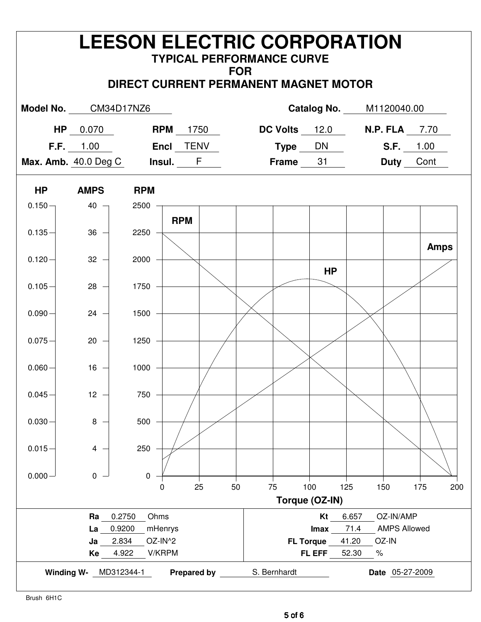